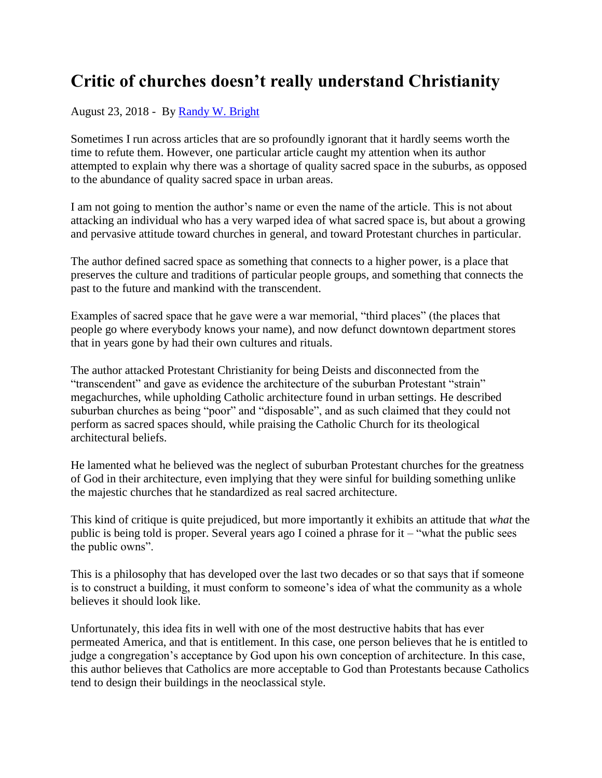## **Critic of churches doesn't really understand Christianity**

## August 23, 2018 - By [Randy W. Bright](http://www.tulsabeacon.com/author/slug-o6yd1v)

Sometimes I run across articles that are so profoundly ignorant that it hardly seems worth the time to refute them. However, one particular article caught my attention when its author attempted to explain why there was a shortage of quality sacred space in the suburbs, as opposed to the abundance of quality sacred space in urban areas.

I am not going to mention the author's name or even the name of the article. This is not about attacking an individual who has a very warped idea of what sacred space is, but about a growing and pervasive attitude toward churches in general, and toward Protestant churches in particular.

The author defined sacred space as something that connects to a higher power, is a place that preserves the culture and traditions of particular people groups, and something that connects the past to the future and mankind with the transcendent.

Examples of sacred space that he gave were a war memorial, "third places" (the places that people go where everybody knows your name), and now defunct downtown department stores that in years gone by had their own cultures and rituals.

The author attacked Protestant Christianity for being Deists and disconnected from the "transcendent" and gave as evidence the architecture of the suburban Protestant "strain" megachurches, while upholding Catholic architecture found in urban settings. He described suburban churches as being "poor" and "disposable", and as such claimed that they could not perform as sacred spaces should, while praising the Catholic Church for its theological architectural beliefs.

He lamented what he believed was the neglect of suburban Protestant churches for the greatness of God in their architecture, even implying that they were sinful for building something unlike the majestic churches that he standardized as real sacred architecture.

This kind of critique is quite prejudiced, but more importantly it exhibits an attitude that *what* the public is being told is proper. Several years ago I coined a phrase for it – "what the public sees the public owns".

This is a philosophy that has developed over the last two decades or so that says that if someone is to construct a building, it must conform to someone's idea of what the community as a whole believes it should look like.

Unfortunately, this idea fits in well with one of the most destructive habits that has ever permeated America, and that is entitlement. In this case, one person believes that he is entitled to judge a congregation's acceptance by God upon his own conception of architecture. In this case, this author believes that Catholics are more acceptable to God than Protestants because Catholics tend to design their buildings in the neoclassical style.